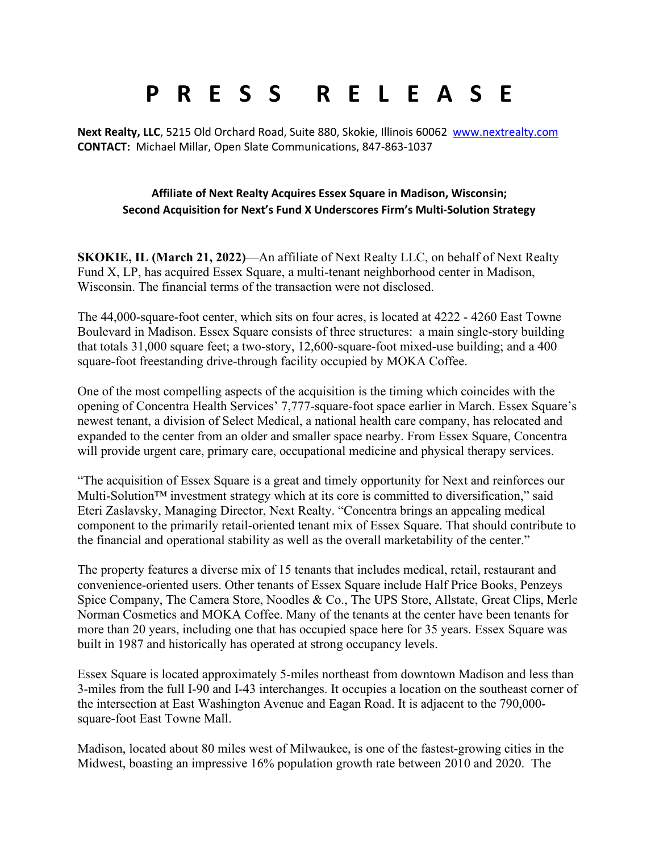## **P R E S S R E L E A S E**

**Next Realty, LLC**, 5215 Old Orchard Road, Suite 880, Skokie, Illinois 60062 [www.nextrealty.com](http://www.nextrealty.com/) **CONTACT:** Michael Millar, Open Slate Communications, 847-863-1037

## **Affiliate of Next Realty Acquires Essex Square in Madison, Wisconsin; Second Acquisition for Next's Fund X Underscores Firm's Multi-Solution Strategy**

**SKOKIE, IL (March 21, 2022)**—An affiliate of Next Realty LLC, on behalf of Next Realty Fund X, LP, has acquired Essex Square, a multi-tenant neighborhood center in Madison, Wisconsin. The financial terms of the transaction were not disclosed.

The 44,000-square-foot center, which sits on four acres, is located at 4222 - 4260 East Towne Boulevard in Madison. Essex Square consists of three structures: a main single-story building that totals 31,000 square feet; a two-story, 12,600-square-foot mixed-use building; and a 400 square-foot freestanding drive-through facility occupied by MOKA Coffee.

One of the most compelling aspects of the acquisition is the timing which coincides with the opening of Concentra Health Services' 7,777-square-foot space earlier in March. Essex Square's newest tenant, a division of Select Medical, a national health care company, has relocated and expanded to the center from an older and smaller space nearby. From Essex Square, Concentra will provide urgent care, primary care, occupational medicine and physical therapy services.

"The acquisition of Essex Square is a great and timely opportunity for Next and reinforces our Multi-Solution™ investment strategy which at its core is committed to diversification," said Eteri Zaslavsky, Managing Director, Next Realty. "Concentra brings an appealing medical component to the primarily retail-oriented tenant mix of Essex Square. That should contribute to the financial and operational stability as well as the overall marketability of the center."

The property features a diverse mix of 15 tenants that includes medical, retail, restaurant and convenience-oriented users. Other tenants of Essex Square include Half Price Books, Penzeys Spice Company, The Camera Store, Noodles & Co., The UPS Store, Allstate, Great Clips, Merle Norman Cosmetics and MOKA Coffee. Many of the tenants at the center have been tenants for more than 20 years, including one that has occupied space here for 35 years. Essex Square was built in 1987 and historically has operated at strong occupancy levels.

Essex Square is located approximately 5-miles northeast from downtown Madison and less than 3-miles from the full I-90 and I-43 interchanges. It occupies a location on the southeast corner of the intersection at East Washington Avenue and Eagan Road. It is adjacent to the 790,000 square-foot East Towne Mall.

Madison, located about 80 miles west of Milwaukee, is one of the fastest-growing cities in the Midwest, boasting an impressive 16% population growth rate between 2010 and 2020. The